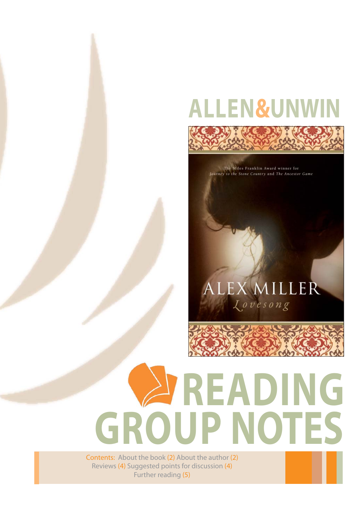## **ALLEN&UNWIN**



The Miles Franklin Award winner for Journey to the Stone Country and The Ancestor Game

### EX MILLER Lovesong

# **READING GROUP NOTES**

Contents: About the book (2) About the author (2) Reviews (4) Suggested points for discussion (4) Further reading (5)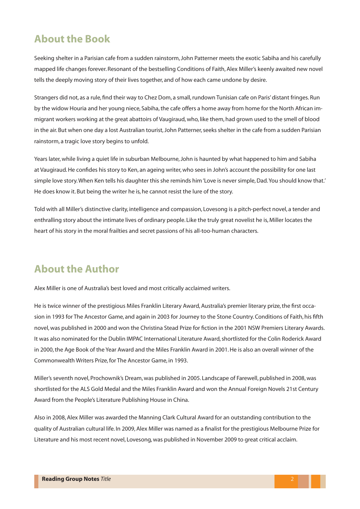#### **About the Book**

Seeking shelter in a Parisian cafe from a sudden rainstorm, John Patterner meets the exotic Sabiha and his carefully mapped life changes forever. Resonant of the bestselling Conditions of Faith, Alex Miller's keenly awaited new novel tells the deeply moving story of their lives together, and of how each came undone by desire.

Strangers did not, as a rule, find their way to Chez Dom, a small, rundown Tunisian cafe on Paris' distant fringes. Run by the widow Houria and her young niece, Sabiha, the cafe offers a home away from home for the North African immigrant workers working at the great abattoirs of Vaugiraud, who, like them, had grown used to the smell of blood in the air. But when one day a lost Australian tourist, John Patterner, seeks shelter in the cafe from a sudden Parisian rainstorm, a tragic love story begins to unfold.

Years later, while living a quiet life in suburban Melbourne, John is haunted by what happened to him and Sabiha at Vaugiraud. He confides his story to Ken, an ageing writer, who sees in John's account the possibility for one last simple love story. When Ken tells his daughter this she reminds him 'Love is never simple, Dad. You should know that.' He does know it. But being the writer he is, he cannot resist the lure of the story.

Told with all Miller's distinctive clarity, intelligence and compassion, Lovesong is a pitch-perfect novel, a tender and enthralling story about the intimate lives of ordinary people. Like the truly great novelist he is, Miller locates the heart of his story in the moral frailties and secret passions of his all-too-human characters.

#### **About the Author**

Alex Miller is one of Australia's best loved and most critically acclaimed writers.

He is twice winner of the prestigious Miles Franklin Literary Award, Australia's premier literary prize, the first occasion in 1993 for The Ancestor Game, and again in 2003 for Journey to the Stone Country. Conditions of Faith, his fifth novel, was published in 2000 and won the Christina Stead Prize for fiction in the 2001 NSW Premiers Literary Awards. It was also nominated for the Dublin IMPAC International Literature Award, shortlisted for the Colin Roderick Award in 2000, the Age Book of the Year Award and the Miles Franklin Award in 2001. He is also an overall winner of the Commonwealth Writers Prize, for The Ancestor Game, in 1993.

Miller's seventh novel, Prochownik's Dream, was published in 2005. Landscape of Farewell, published in 2008, was shortlisted for the ALS Gold Medal and the Miles Franklin Award and won the Annual Foreign Novels 21st Century Award from the People's Literature Publishing House in China.

Also in 2008, Alex Miller was awarded the Manning Clark Cultural Award for an outstanding contribution to the quality of Australian cultural life. In 2009, Alex Miller was named as a finalist for the prestigious Melbourne Prize for Literature and his most recent novel, Lovesong, was published in November 2009 to great critical acclaim.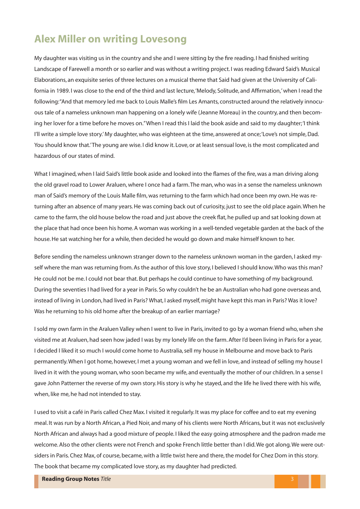#### **Alex Miller on writing Lovesong**

My daughter was visiting us in the country and she and I were sitting by the fire reading. I had finished writing Landscape of Farewell a month or so earlier and was without a writing project. I was reading Edward Said's Musical Elaborations, an exquisite series of three lectures on a musical theme that Said had given at the University of California in 1989. I was close to the end of the third and last lecture, 'Melody, Solitude, and Affirmation,' when I read the following: "And that memory led me back to Louis Malle's film Les Amants, constructed around the relatively innocuous tale of a nameless unknown man happening on a lonely wife (Jeanne Moreau) in the country, and then becoming her lover for a time before he moves on." When I read this I laid the book aside and said to my daughter; 'I think I'll write a simple love story.' My daughter, who was eighteen at the time, answered at once; 'Love's not simple, Dad. You should know that.' The young are wise. I did know it. Love, or at least sensual love, is the most complicated and hazardous of our states of mind.

What I imagined, when I laid Said's little book aside and looked into the flames of the fire, was a man driving along the old gravel road to Lower Araluen, where I once had a farm. The man, who was in a sense the nameless unknown man of Said's memory of the Louis Malle film, was returning to the farm which had once been my own. He was returning after an absence of many years. He was coming back out of curiosity, just to see the old place again. When he came to the farm, the old house below the road and just above the creek flat, he pulled up and sat looking down at the place that had once been his home. A woman was working in a well-tended vegetable garden at the back of the house. He sat watching her for a while, then decided he would go down and make himself known to her.

Before sending the nameless unknown stranger down to the nameless unknown woman in the garden, I asked myself where the man was returning from. As the author of this love story, I believed I should know. Who was this man? He could not be me. I could not bear that. But perhaps he could continue to have something of my background. During the seventies I had lived for a year in Paris. So why couldn't he be an Australian who had gone overseas and, instead of living in London, had lived in Paris? What, I asked myself, might have kept this man in Paris? Was it love? Was he returning to his old home after the breakup of an earlier marriage?

I sold my own farm in the Araluen Valley when I went to live in Paris, invited to go by a woman friend who, when she visited me at Araluen, had seen how jaded I was by my lonely life on the farm. After I'd been living in Paris for a year, I decided I liked it so much I would come home to Australia, sell my house in Melbourne and move back to Paris permanently. When I got home, however, I met a young woman and we fell in love, and instead of selling my house I lived in it with the young woman, who soon became my wife, and eventually the mother of our children. In a sense I gave John Patterner the reverse of my own story. His story is why he stayed, and the life he lived there with his wife, when, like me, he had not intended to stay.

I used to visit a café in Paris called Chez Max. I visited it regularly. It was my place for coffee and to eat my evening meal. It was run by a North African, a Pied Noir, and many of his clients were North Africans, but it was not exclusively North African and always had a good mixture of people. I liked the easy going atmosphere and the padron made me welcome. Also the other clients were not French and spoke French little better than I did. We got along. We were outsiders in Paris. Chez Max, of course, became, with a little twist here and there, the model for Chez Dom in this story. The book that became my complicated love story, as my daughter had predicted.

**Reading Group Notes Title**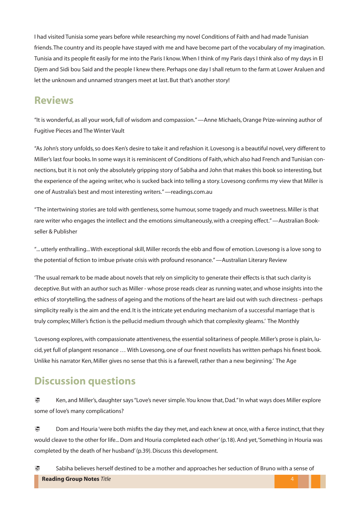I had visited Tunisia some years before while researching my novel Conditions of Faith and had made Tunisian friends. The country and its people have stayed with me and have become part of the vocabulary of my imagination. Tunisia and its people fit easily for me into the Paris I know. When I think of my Paris days I think also of my days in El Djem and Sidi bou Said and the people I knew there. Perhaps one day I shall return to the farm at Lower Araluen and let the unknown and unnamed strangers meet at last. But that's another story!

#### **Reviews**

"It is wonderful, as all your work, full of wisdom and compassion." —Anne Michaels, Orange Prize-winning author of Fugitive Pieces and The Winter Vault

"As John's story unfolds, so does Ken's desire to take it and refashion it. Lovesong is a beautiful novel, very different to Miller's last four books. In some ways it is reminiscent of Conditions of Faith, which also had French and Tunisian connections, but it is not only the absolutely gripping story of Sabiha and John that makes this book so interesting, but the experience of the ageing writer, who is sucked back into telling a story. Lovesong confirms my view that Miller is one of Australia's best and most interesting writers." —readings.com.au

"The intertwining stories are told with gentleness, some humour, some tragedy and much sweetness. Miller is that rare writer who engages the intellect and the emotions simultaneously, with a creeping effect." —Australian Bookseller & Publisher

"... utterly enthralling... With exceptional skill, Miller records the ebb and flow of emotion. Lovesong is a love song to the potential of fiction to imbue private crisis with profound resonance." —Australian Literary Review

'The usual remark to be made about novels that rely on simplicity to generate their effects is that such clarity is deceptive. But with an author such as Miller - whose prose reads clear as running water, and whose insights into the ethics of storytelling, the sadness of ageing and the motions of the heart are laid out with such directness - perhaps simplicity really is the aim and the end. It is the intricate yet enduring mechanism of a successful marriage that is truly complex; Miller's fiction is the pellucid medium through which that complexity gleams.' The Monthly

'Lovesong explores, with compassionate attentiveness, the essential solitariness of people. Miller's prose is plain, lucid, yet full of plangent resonance ... With Lovesong, one of our finest novelists has written perhaps his finest book. Unlike his narrator Ken, Miller gives no sense that this is a farewell, rather than a new beginning.' The Age

#### **Discussion questions**

Ken, and Miller's, daughter says "Love's never simple. You know that, Dad." In what ways does Miller explore some of love's many complications? ₹

Dom and Houria 'were both misfits the day they met, and each knew at once, with a fierce instinct, that they would cleave to the other for life... Dom and Houria completed each other' (p.18). And yet, 'Something in Houria was completed by the death of her husband' (p.39). Discuss this development. Ð

**Reading Group Notes Title** Sabiha believes herself destined to be a mother and approaches her seduction of Bruno with a sense of Ø